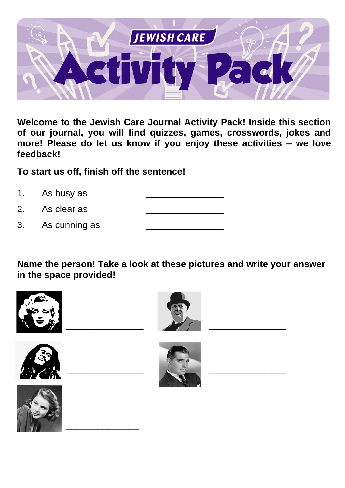

**Welcome to the Jewish Care Journal Activity Pack! Inside this section of our journal, you will find quizzes, games, crosswords, jokes and more! Please do let us know if you enjoy these activities – we love feedback!** 

**To start us off, finish off the sentence!**

\_\_\_\_\_\_\_\_\_\_\_\_\_\_

- 1. As busy as
- 2. As clear as
- 3. As cunning as

**Name the person! Take a look at these pictures and write your answer in the space provided!**









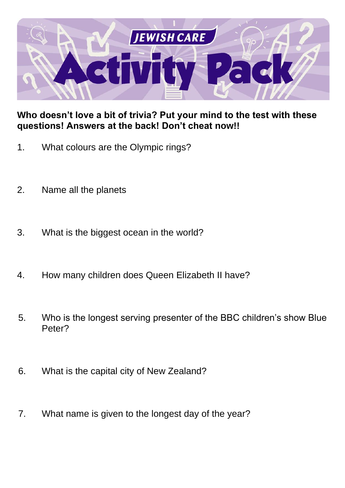

### **Who doesn't love a bit of trivia? Put your mind to the test with these questions! Answers at the back! Don't cheat now!!**

- 1. What colours are the Olympic rings?
- 2. Name all the planets
- 3. What is the biggest ocean in the world?
- 4. How many children does Queen Elizabeth II have?
- 5. Who is the longest serving presenter of the BBC children's show Blue Peter?
- 6. What is the capital city of New Zealand?
- 7. What name is given to the longest day of the year?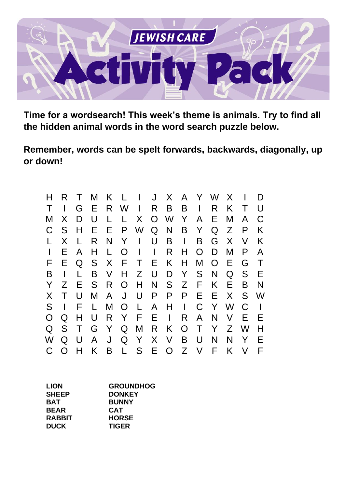

**Time for a wordsearch! This week's theme is animals. Try to find all the hidden animal words in the word search puzzle below.** 

**Remember, words can be spelt forwards, backwards, diagonally, up or down!**

| н | R  |        | M  | K  | L        |              | J            | X            | A            | Y      | W        | X |        | D |
|---|----|--------|----|----|----------|--------------|--------------|--------------|--------------|--------|----------|---|--------|---|
|   |    | G      | Е  | R. | W        | $\mathsf{I}$ | R.           | B            | Β            | I      | R        | K | Τ      | U |
| M | X  | D      | U  | L  | L        | X            | $\Omega$     | W            | Y            | A      | E.       | M | A      | C |
| C | S  | H      | E. | Е  | P        | W            | Q            | N            | B            | Y      | Q        | Z | P      | Κ |
| L | X  | L      | R  | N  | Y        | $\mathbf{I}$ | U            | B            | $\mathsf{I}$ | B      | G        | X | $\vee$ | K |
|   | E. | A      | H  | L  | O        | $\perp$      | $\mathbf{I}$ | R            | Н            | O      | D        | M | P      | A |
| F | E. | Q      | S  | X  | F        | Τ            | E.           | K.           | H            | M      | $\Omega$ | Е | G      | Т |
| B |    |        | B  | V  | H        | Z            | U            | D            | Y            | S      | N        | Q | S      | E |
| Y | Z  | Е      | S  | R. | O        | H            | N            | S.           | Z            | F.     | K        | E | B      | N |
| X |    | U      | M  | A  | J        | U            | P            | P            | P            | E      | Е        | X | S      | W |
| S | I  | F      | L  | M  | $\Omega$ | L            | A            | Н            | $\mathbf{I}$ | C      | Y        | W | C      |   |
| O | Q  | Н      | U  | R  | Y        | F            | E            | $\mathbf{I}$ | R            | A      | N        | V | F      | F |
| Q | S  | $\top$ | G  | Y  | Q        | M            | R            | K            | $\Omega$     | $\top$ | Y        | Z | W      | н |
| W | Q  | U      | A  | J  | Q        | Y            | $\sf X$      | V            | Β            | U      | N        | N | Y      | F |
| C | O  |        | K  | B  | L        | S            | Е            | $\Omega$     | Z            | V      | F        | K | V      | F |

| <b>LION</b>   | <b>GROUNDHOG</b> |
|---------------|------------------|
| <b>SHEEP</b>  | <b>DONKEY</b>    |
| <b>BAT</b>    | <b>BUNNY</b>     |
| <b>BEAR</b>   | <b>CAT</b>       |
| <b>RABBIT</b> | <b>HORSE</b>     |
| <b>DUCK</b>   | <b>TIGER</b>     |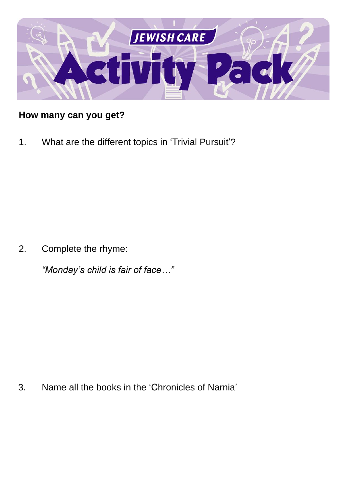

## **How many can you get?**

1. What are the different topics in 'Trivial Pursuit'?

2. Complete the rhyme:

*"Monday's child is fair of face…"*

3. Name all the books in the 'Chronicles of Narnia'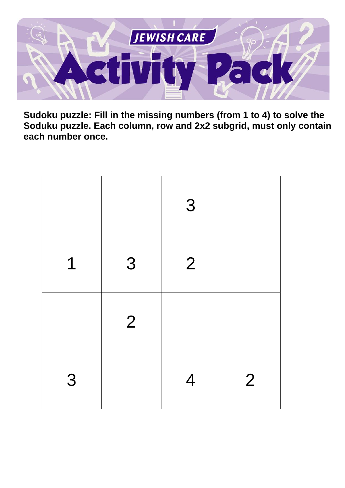

**Sudoku puzzle: Fill in the missing numbers (from 1 to 4) to solve the Soduku puzzle. Each column, row and 2x2 subgrid, must only contain each number once.**

|   |                | 3              |                |
|---|----------------|----------------|----------------|
| 1 | 3              | $\overline{2}$ |                |
|   | $\overline{2}$ |                |                |
| 3 |                | 4              | $\overline{2}$ |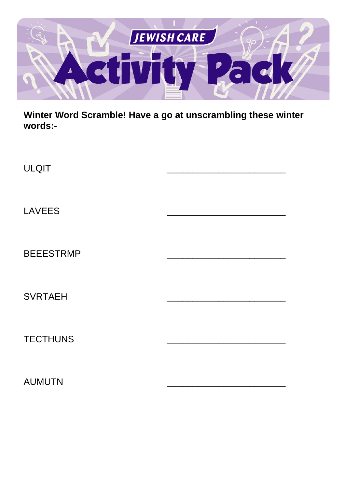

**Winter Word Scramble! Have a go at unscrambling these winter words:-**

| <b>ULQIT</b>     |  |
|------------------|--|
| <b>LAVEES</b>    |  |
| <b>BEEESTRMP</b> |  |
| <b>SVRTAEH</b>   |  |
| <b>TECTHUNS</b>  |  |
| <b>AUMUTN</b>    |  |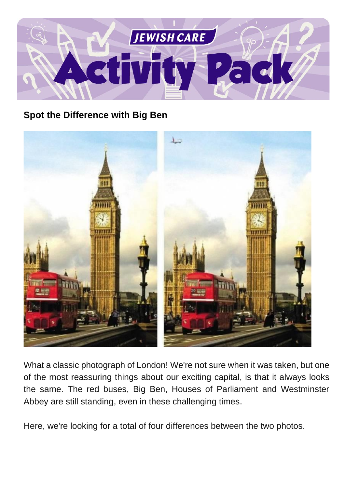

### **Spot the Difference with Big Ben**



What a classic photograph of London! We're not sure when it was taken, but one of the most reassuring things about our exciting capital, is that it always looks the same. The red buses, Big Ben, Houses of Parliament and Westminster Abbey are still standing, even in these challenging times.

Here, we're looking for a total of four differences between the two photos.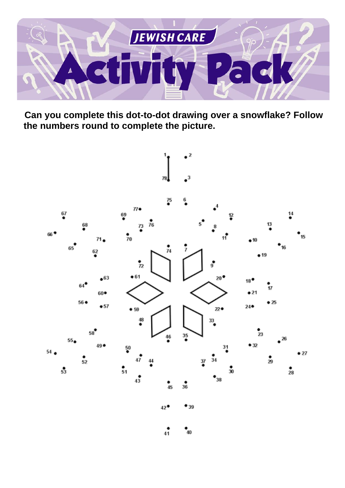

**Can you complete this dot-to-dot drawing over a snowflake? Follow the numbers round to complete the picture.**



 $\frac{1}{41}$  $\degree_{40}$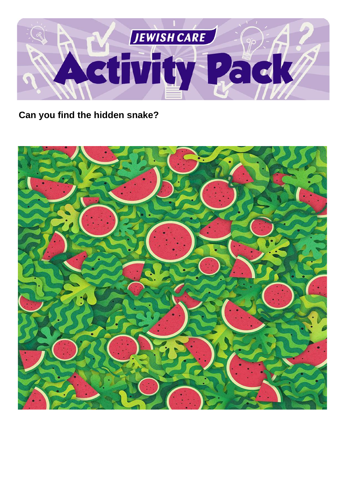

**Can you find the hidden snake?**

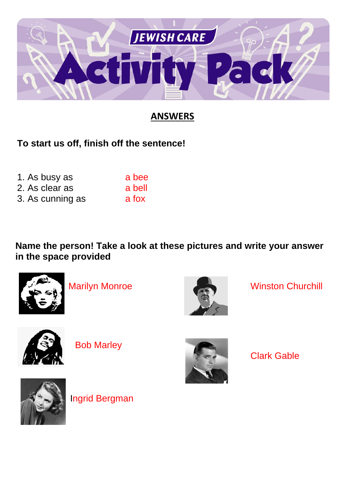

# **ANSWERS**

**To start us off, finish off the sentence!**

| 1. As busy as    | a bee  |
|------------------|--------|
| 2. As clear as   | a bell |
| 3. As cunning as | a fox  |

**Name the person! Take a look at these pictures and write your answer in the space provided**





Marilyn Monroe Winston Churchill



Bob Marley



Clark Gable



Ingrid Bergman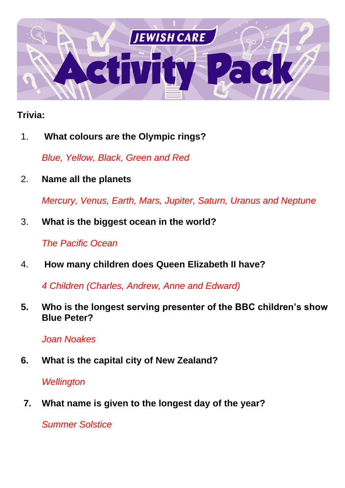

## **Trivia:**

1. **What colours are the Olympic rings?**

*Blue, Yellow, Black, Green and Red*

2. **Name all the planets**

*Mercury, Venus, Earth, Mars, Jupiter, Saturn, Uranus and Neptune*

3. **What is the biggest ocean in the world?**

*The Pacific Ocean*

4. **How many children does Queen Elizabeth II have?**

*4 Children (Charles, Andrew, Anne and Edward)*

**5. Who is the longest serving presenter of the BBC children's show Blue Peter?**

*Joan Noakes*

**6. What is the capital city of New Zealand?**

## *Wellington*

**7. What name is given to the longest day of the year?**

*Summer Solstice*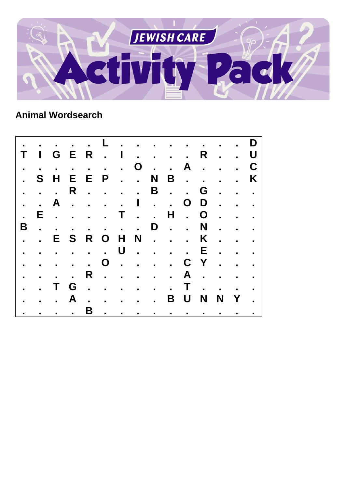

# **Animal Wordsearch**

|                           |               |                                          |              |   |            |  |  |             | . <b>. . D</b>                      |                                        |                                      |
|---------------------------|---------------|------------------------------------------|--------------|---|------------|--|--|-------------|-------------------------------------|----------------------------------------|--------------------------------------|
|                           |               | T I G E R . I                            |              |   |            |  |  |             | R U                                 |                                        |                                      |
|                           |               |                                          |              |   |            |  |  |             | . 0 A C                             |                                        |                                      |
| $\mathbf{r}$              |               | S H                                      | E            |   |            |  |  |             | E P N B                             |                                        | K                                    |
|                           |               | $\mathbf{u} = \mathbf{u} + \mathbf{u}$ . |              |   |            |  |  |             | R. B. . G.                          |                                        |                                      |
| $\ddot{\phantom{a}}$      |               |                                          |              |   |            |  |  |             | A. I. . OD.                         |                                        |                                      |
| $\mathbf{r}$              | E.            |                                          |              |   |            |  |  |             | . <b>T H</b> . <b>O</b>             |                                        |                                      |
| B                         | $\sim$ $\sim$ | $\sim 10^{11}$ and $\sim 10^{11}$        |              |   | . <b>D</b> |  |  | N           |                                     | $\mathbf{r}$ . The set of $\mathbf{r}$ |                                      |
|                           |               |                                          |              |   |            |  |  |             | . . E S R O H N K                   |                                        |                                      |
|                           | $\sim$ .      |                                          |              |   |            |  |  |             | . <b>. U E</b>                      |                                        |                                      |
| $\mathbf{u} = \mathbf{u}$ |               |                                          |              |   |            |  |  |             | . 0 C Y                             |                                        |                                      |
| $\mathbf{r}$              | $\sim$ .      |                                          |              |   | R. A. .    |  |  |             |                                     | $\sim 10^{-1}$ and $\sim 10^{-1}$      |                                      |
|                           |               |                                          |              |   |            |  |  |             | T G T                               |                                        |                                      |
|                           |               | $\sim 10^{-1}$                           | $\mathbf{A}$ |   | . B U      |  |  | $\mathbf N$ | $\blacksquare$                      | $Y$ .                                  |                                      |
|                           |               |                                          |              | B |            |  |  |             | the contract of the contract of the |                                        | $\mathbf{u} = \mathbf{u} \mathbf{u}$ |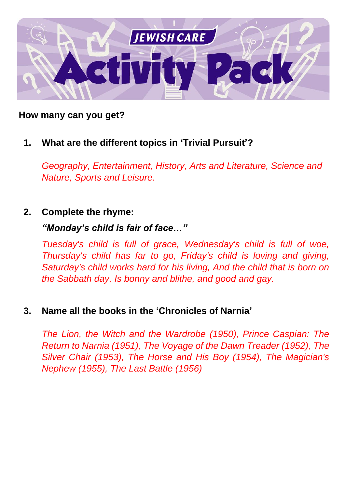

### **How many can you get?**

### **1. What are the different topics in 'Trivial Pursuit'?**

*Geography, Entertainment, History, Arts and Literature, Science and Nature, Sports and Leisure.*

#### **2. Complete the rhyme:**

#### *"Monday's child is fair of face…"*

*Tuesday's child is full of grace, Wednesday's child is full of woe, Thursday's child has far to go, Friday's child is loving and giving, Saturday's child works hard for his living, And the child that is born on the Sabbath day, Is bonny and blithe, and good and gay.*

#### **3. Name all the books in the 'Chronicles of Narnia'**

*The Lion, the Witch and the Wardrobe (1950), Prince Caspian: The Return to Narnia (1951), The Voyage of the Dawn Treader (1952), The Silver Chair (1953), The Horse and His Boy (1954), The Magician's Nephew (1955), The Last Battle (1956)*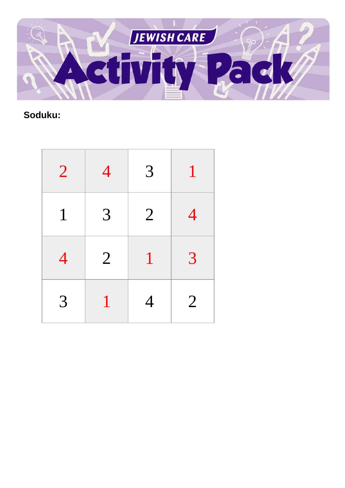

# **Soduku:**

| $\overline{2}$ | 4              | $\overline{3}$ |                |
|----------------|----------------|----------------|----------------|
| $\mathbf{1}$   | $\overline{3}$ | $\overline{2}$ | 4              |
| $\overline{4}$ | $\overline{2}$ | $\mathbf 1$    | 3              |
| 3              |                | 4              | $\overline{2}$ |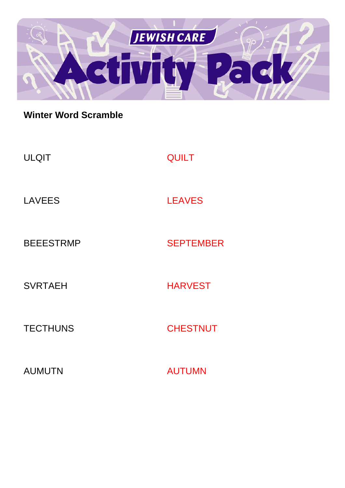

## **Winter Word Scramble**

| <b>ULQIT</b>     | <b>QUILT</b>     |
|------------------|------------------|
| <b>LAVEES</b>    | <b>LEAVES</b>    |
| <b>BEEESTRMP</b> | <b>SEPTEMBER</b> |
| <b>SVRTAEH</b>   | <b>HARVEST</b>   |
| <b>TECTHUNS</b>  | <b>CHESTNUT</b>  |
| <b>AUMUTN</b>    | <b>AUTUMN</b>    |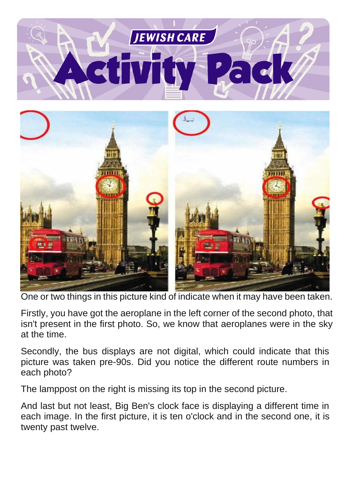



One or two things in this picture kind of indicate when it may have been taken.

Firstly, you have got the aeroplane in the left corner of the second photo, that isn't present in the first photo. So, we know that aeroplanes were in the sky at the time.

Secondly, the bus displays are not digital, which could indicate that this picture was taken pre-90s. Did you notice the different route numbers in each photo?

The lamppost on the right is missing its top in the second picture.

And last but not least, Big Ben's clock face is displaying a different time in each image. In the first picture, it is ten o'clock and in the second one, it is twenty past twelve.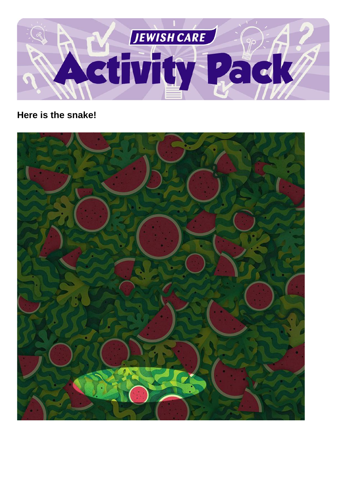

## **Here is the snake!**